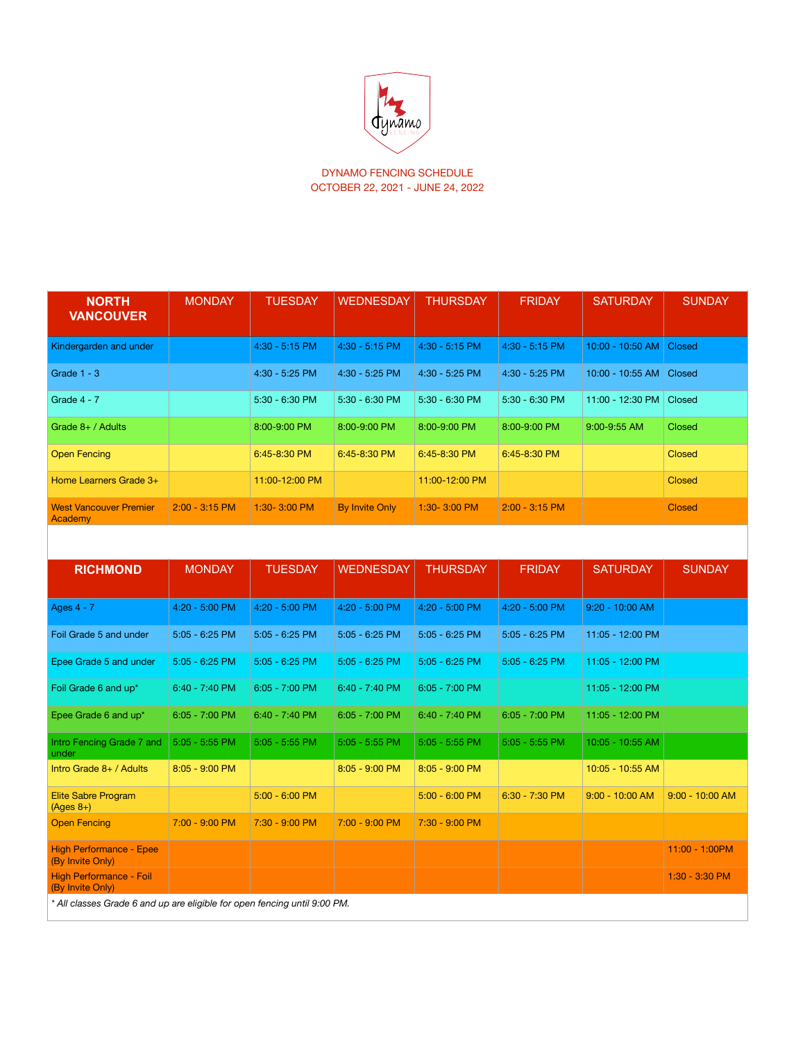

DYNAMO FENCING SCHEDULE OCTOBER 22, 2021 - JUNE 24, 2022

| <b>NORTH</b><br><b>VANCOUVER</b>         | <b>MONDAY</b>    | <b>TUESDAY</b>   | <b>WEDNESDAY</b>      | <b>THURSDAY</b>  | <b>FRIDAY</b>    | <b>SATURDAY</b>           | <b>SUNDAY</b> |
|------------------------------------------|------------------|------------------|-----------------------|------------------|------------------|---------------------------|---------------|
| Kindergarden and under                   |                  | $4:30 - 5:15$ PM | 4:30 - 5:15 PM        | $4:30 - 5:15$ PM | $4:30 - 5:15$ PM | 10:00 - 10:50 AM   Closed |               |
| Grade $1 - 3$                            |                  | 4:30 - 5:25 PM   | 4:30 - 5:25 PM        | 4:30 - 5:25 PM   | 4:30 - 5:25 PM   | 10:00 - 10:55 AM          | <b>Closed</b> |
| Grade 4 - 7                              |                  | $5:30 - 6:30$ PM | $5:30 - 6:30$ PM      | $5:30 - 6:30$ PM | $5:30 - 6:30$ PM | 11:00 - 12:30 PM          | Closed        |
| Grade $8+$ / Adults                      |                  | 8:00-9:00 PM     | 8:00-9:00 PM          | 8:00-9:00 PM     | 8:00-9:00 PM     | $9:00 - 9:55$ AM          | <b>Closed</b> |
| <b>Open Fencing</b>                      |                  | 6:45-8:30 PM     | 6:45-8:30 PM          | 6:45-8:30 PM     | 6:45-8:30 PM     |                           | <b>Closed</b> |
| Home Learners Grade 3+                   |                  | 11:00-12:00 PM   |                       | 11:00-12:00 PM   |                  |                           | <b>Closed</b> |
| <b>West Vancouver Premier</b><br>Academy | $2:00 - 3:15$ PM | $1:30 - 3:00$ PM | <b>By Invite Only</b> | $1:30 - 3:00$ PM | $2:00 - 3:15$ PM |                           | <b>Closed</b> |

| <b>RICHMOND</b>                                                           | <b>MONDAY</b>    | <b>TUESDAY</b>   | <b>WEDNESDAY</b> | <b>THURSDAY</b>  | <b>FRIDAY</b>    | <b>SATURDAY</b>   | <b>SUNDAY</b>     |
|---------------------------------------------------------------------------|------------------|------------------|------------------|------------------|------------------|-------------------|-------------------|
| Ages 4 - 7                                                                | 4:20 - 5:00 PM   | 4:20 - 5:00 PM   | 4:20 - 5:00 PM   | 4:20 - 5:00 PM   | 4:20 - 5:00 PM   | 9:20 - 10:00 AM   |                   |
| Foil Grade 5 and under                                                    | $5:05 - 6:25$ PM | $5:05 - 6:25$ PM | $5:05 - 6:25$ PM | $5:05 - 6:25$ PM | 5:05 - 6:25 PM   | 11:05 - 12:00 PM  |                   |
| Epee Grade 5 and under                                                    | $5:05 - 6:25$ PM | $5:05 - 6:25$ PM | $5:05 - 6:25$ PM | $5:05 - 6:25$ PM | $5:05 - 6:25$ PM | 11:05 - 12:00 PM  |                   |
| Foil Grade 6 and up*                                                      | 6:40 - 7:40 PM   | $6:05 - 7:00$ PM | $6:40 - 7:40$ PM | $6:05 - 7:00$ PM |                  | 11:05 - 12:00 PM  |                   |
| Epee Grade 6 and up*                                                      | $6:05 - 7:00$ PM | 6:40 - 7:40 PM   | $6:05 - 7:00$ PM | $6:40 - 7:40$ PM | $6:05 - 7:00$ PM | 11:05 - 12:00 PM  |                   |
| Intro Fencing Grade 7 and<br>under                                        | $5:05 - 5:55$ PM | $5:05 - 5:55$ PM | $5:05 - 5:55$ PM | $5:05 - 5:55$ PM | $5:05 - 5:55$ PM | 10:05 - 10:55 AM  |                   |
| Intro Grade 8+ / Adults                                                   | 8:05 - 9:00 PM   |                  | $8:05 - 9:00$ PM | $8:05 - 9:00$ PM |                  | 10:05 - 10:55 AM  |                   |
| <b>Elite Sabre Program</b><br>$(Ages 8+)$                                 |                  | $5:00 - 6:00$ PM |                  | $5:00 - 6:00$ PM | 6:30 - 7:30 PM   | $9:00 - 10:00$ AM | $9:00 - 10:00$ AM |
| <b>Open Fencing</b>                                                       | 7:00 - 9:00 PM   | 7:30 - 9:00 PM   | 7:00 - 9:00 PM   | 7:30 - 9:00 PM   |                  |                   |                   |
| <b>High Performance - Epee</b><br>(By Invite Only)                        |                  |                  |                  |                  |                  |                   | 11:00 - 1:00PM    |
| High Performance - Foil<br>(By Invite Only)                               |                  |                  |                  |                  |                  |                   | 1:30 - 3:30 PM    |
| * All classes Grade 6 and up are eligible for open fencing until 9:00 PM. |                  |                  |                  |                  |                  |                   |                   |

 $\overline{\phantom{a}}$